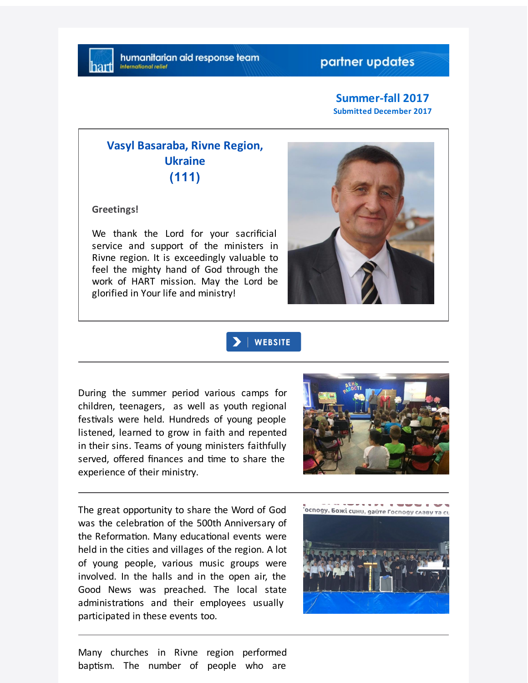## partner updates

#### **Summer-fall 2017 Submitted December 2017**

# **Vasyl Basaraba, Rivne Region, Ukraine (111)**

**Greetings!**

We thank the Lord for your sacrificial service and support of the ministers in Rivne region. It is exceedingly valuable to feel the mighty hand of God through the work of HART mission. May the Lord be glorified in Your life and ministry!



| WEBSITE

During the summer period various camps for children, teenagers, as well as youth regional festivals were held. Hundreds of young people listened, learned to grow in faith and repented in their sins. Teams of young ministers faithfully served, offered finances and time to share the experience of their ministry.



The great opportunity to share the Word of God was the celebration of the 500th Anniversary of the Reformation. Many educational events were held in the cities and villages of the region. A lot of young people, various music groups were involved. In the halls and in the open air, the Good News was preached. The local state administrations and their employees usually participated in these events too.



Many churches in Rivne region performed baptism. The number of people who are